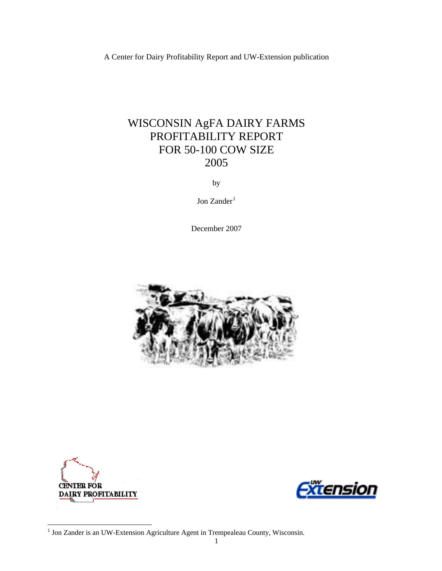A Center for Dairy Profitability Report and UW-Extension publication

# WISCONSIN AgFA DAIRY FARMS PROFITABILITY REPORT FOR 50-100 COW SIZE 2005

by

Jon Zander<sup>[1](#page-0-0)</sup>

December 2007





<span id="page-0-0"></span>

 1 Jon Zander is an UW-Extension Agriculture Agent in Trempealeau County, Wisconsin.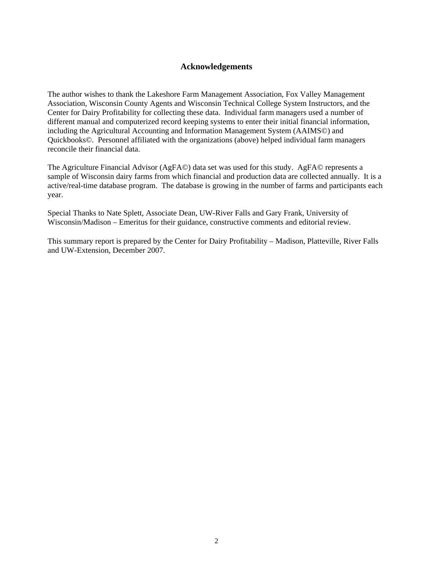## **Acknowledgements**

The author wishes to thank the Lakeshore Farm Management Association, Fox Valley Management Association, Wisconsin County Agents and Wisconsin Technical College System Instructors, and the Center for Dairy Profitability for collecting these data. Individual farm managers used a number of different manual and computerized record keeping systems to enter their initial financial information, including the Agricultural Accounting and Information Management System (AAIMS©) and Quickbooks©. Personnel affiliated with the organizations (above) helped individual farm managers reconcile their financial data.

The Agriculture Financial Advisor (AgFA©) data set was used for this study. AgFA© represents a sample of Wisconsin dairy farms from which financial and production data are collected annually. It is a active/real-time database program. The database is growing in the number of farms and participants each year.

Special Thanks to Nate Splett, Associate Dean, UW-River Falls and Gary Frank, University of Wisconsin/Madison – Emeritus for their guidance, constructive comments and editorial review.

This summary report is prepared by the Center for Dairy Profitability – Madison, Platteville, River Falls and UW-Extension, December 2007.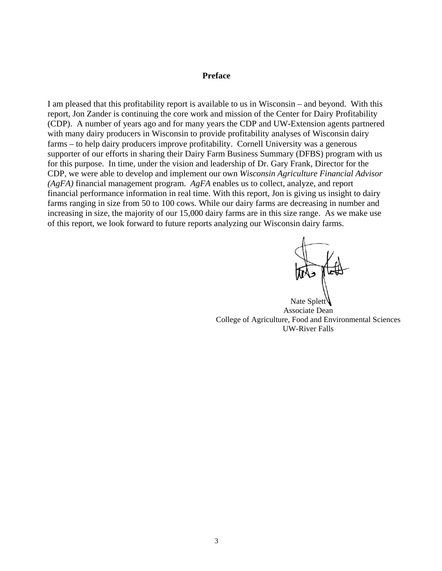#### **Preface**

I am pleased that this profitability report is available to us in Wisconsin – and beyond. With this report, Jon Zander is continuing the core work and mission of the Center for Dairy Profitability (CDP). A number of years ago and for many years the CDP and UW-Extension agents partnered with many dairy producers in Wisconsin to provide profitability analyses of Wisconsin dairy farms – to help dairy producers improve profitability. Cornell University was a generous supporter of our efforts in sharing their Dairy Farm Business Summary (DFBS) program with us for this purpose. In time, under the vision and leadership of Dr. Gary Frank, Director for the CDP, we were able to develop and implement our own *Wisconsin Agriculture Financial Advisor (AgFA)* financial management program. *AgFA* enables us to collect, analyze, and report financial performance information in real time. With this report, Jon is giving us insight to dairy farms ranging in size from 50 to 100 cows. While our dairy farms are decreasing in number and increasing in size, the majority of our 15,000 dairy farms are in this size range. As we make use of this report, we look forward to future reports analyzing our Wisconsin dairy farms.

Nate Splett Associate Dean College of Agriculture, Food and Environmental Sciences UW-River Falls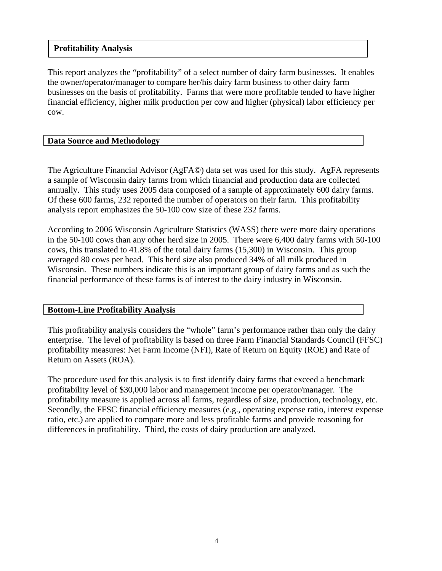## **Profitability Analysis**

This report analyzes the "profitability" of a select number of dairy farm businesses. It enables the owner/operator/manager to compare her/his dairy farm business to other dairy farm businesses on the basis of profitability. Farms that were more profitable tended to have higher financial efficiency, higher milk production per cow and higher (physical) labor efficiency per cow.

## **Data Source and Methodology**

The Agriculture Financial Advisor (AgFA©) data set was used for this study. AgFA represents a sample of Wisconsin dairy farms from which financial and production data are collected annually. This study uses 2005 data composed of a sample of approximately 600 dairy farms. Of these 600 farms, 232 reported the number of operators on their farm. This profitability analysis report emphasizes the 50-100 cow size of these 232 farms.

According to 2006 Wisconsin Agriculture Statistics (WASS) there were more dairy operations in the 50-100 cows than any other herd size in 2005. There were 6,400 dairy farms with 50-100 cows, this translated to 41.8% of the total dairy farms (15,300) in Wisconsin. This group averaged 80 cows per head. This herd size also produced 34% of all milk produced in Wisconsin. These numbers indicate this is an important group of dairy farms and as such the financial performance of these farms is of interest to the dairy industry in Wisconsin.

## **Bottom-Line Profitability Analysis**

This profitability analysis considers the "whole" farm's performance rather than only the dairy enterprise. The level of profitability is based on three Farm Financial Standards Council (FFSC) profitability measures: Net Farm Income (NFI), Rate of Return on Equity (ROE) and Rate of Return on Assets (ROA).

The procedure used for this analysis is to first identify dairy farms that exceed a benchmark profitability level of \$30,000 labor and management income per operator/manager. The profitability measure is applied across all farms, regardless of size, production, technology, etc. Secondly, the FFSC financial efficiency measures (e.g., operating expense ratio, interest expense ratio, etc.) are applied to compare more and less profitable farms and provide reasoning for differences in profitability. Third, the costs of dairy production are analyzed.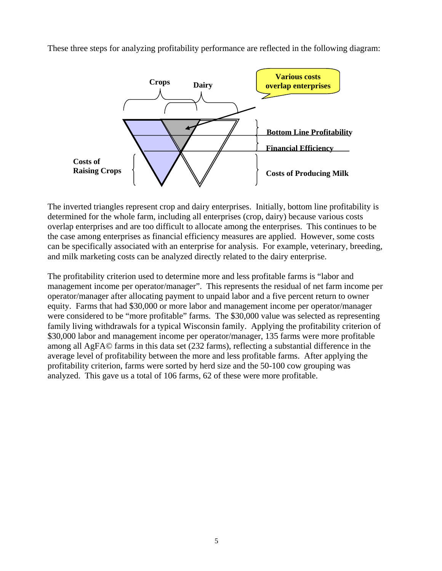

These three steps for analyzing profitability performance are reflected in the following diagram:

The inverted triangles represent crop and dairy enterprises. Initially, bottom line profitability is determined for the whole farm, including all enterprises (crop, dairy) because various costs overlap enterprises and are too difficult to allocate among the enterprises. This continues to be the case among enterprises as financial efficiency measures are applied. However, some costs can be specifically associated with an enterprise for analysis. For example, veterinary, breeding, and milk marketing costs can be analyzed directly related to the dairy enterprise.

The profitability criterion used to determine more and less profitable farms is "labor and management income per operator/manager". This represents the residual of net farm income per operator/manager after allocating payment to unpaid labor and a five percent return to owner equity. Farms that had \$30,000 or more labor and management income per operator/manager were considered to be "more profitable" farms. The \$30,000 value was selected as representing family living withdrawals for a typical Wisconsin family. Applying the profitability criterion of \$30,000 labor and management income per operator/manager, 135 farms were more profitable among all AgFA© farms in this data set (232 farms), reflecting a substantial difference in the average level of profitability between the more and less profitable farms. After applying the profitability criterion, farms were sorted by herd size and the 50-100 cow grouping was analyzed. This gave us a total of 106 farms, 62 of these were more profitable.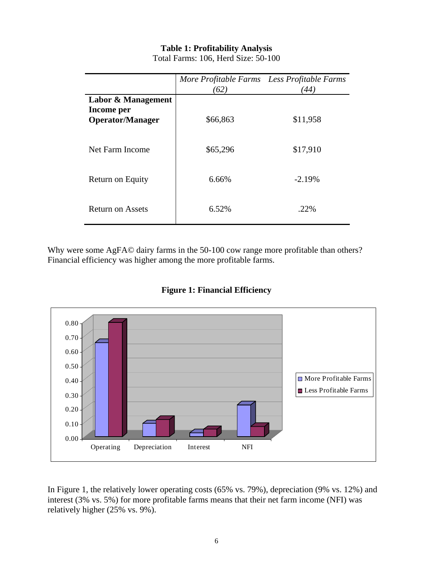# **Table 1: Profitability Analysis**

|                                                             | More Profitable Farms Less Profitable Farms<br>(62) | 44)      |
|-------------------------------------------------------------|-----------------------------------------------------|----------|
| Labor & Management<br>Income per<br><b>Operator/Manager</b> | \$66,863                                            | \$11,958 |
| Net Farm Income                                             | \$65,296                                            | \$17,910 |
| Return on Equity                                            | 6.66%                                               | $-2.19%$ |
| <b>Return on Assets</b>                                     | 6.52%                                               | .22%     |

Total Farms: 106, Herd Size: 50-100

Why were some AgFA© dairy farms in the 50-100 cow range more profitable than others? Financial efficiency was higher among the more profitable farms.



**Figure 1: Financial Efficiency** 

In Figure 1, the relatively lower operating costs (65% vs. 79%), depreciation (9% vs. 12%) and interest (3% vs. 5%) for more profitable farms means that their net farm income (NFI) was relatively higher (25% vs. 9%).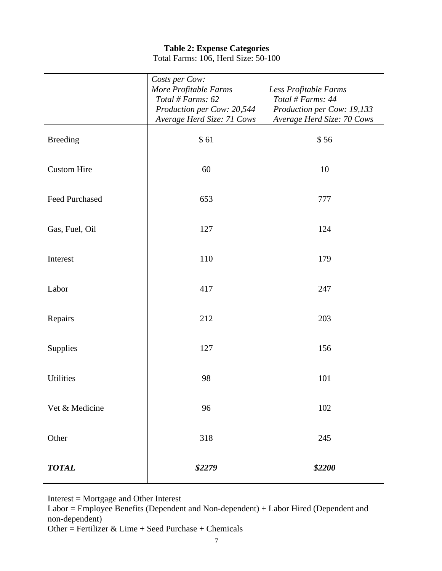## **Table 2: Expense Categories** Total Farms: 106, Herd Size: 50-100

|                       | Costs per Cow:<br>More Profitable Farms<br>Total # Farms: 62<br>Production per Cow: 20,544 | Less Profitable Farms<br>Total # Farms: 44<br>Production per Cow: 19,133 |
|-----------------------|--------------------------------------------------------------------------------------------|--------------------------------------------------------------------------|
|                       | Average Herd Size: 71 Cows                                                                 | Average Herd Size: 70 Cows                                               |
| <b>Breeding</b>       | \$61                                                                                       | \$56                                                                     |
| <b>Custom Hire</b>    | 60                                                                                         | 10                                                                       |
| <b>Feed Purchased</b> | 653                                                                                        | 777                                                                      |
| Gas, Fuel, Oil        | 127                                                                                        | 124                                                                      |
| Interest              | 110                                                                                        | 179                                                                      |
| Labor                 | 417                                                                                        | 247                                                                      |
| Repairs               | 212                                                                                        | 203                                                                      |
| Supplies              | 127                                                                                        | 156                                                                      |
| <b>Utilities</b>      | 98                                                                                         | 101                                                                      |
| Vet & Medicine        | 96                                                                                         | 102                                                                      |
| Other                 | 318                                                                                        | 245                                                                      |
| <b>TOTAL</b>          | \$2279                                                                                     | \$2200                                                                   |

Interest = Mortgage and Other Interest

Labor = Employee Benefits (Dependent and Non-dependent) + Labor Hired (Dependent and non-dependent)

Other = Fertilizer & Lime + Seed Purchase + Chemicals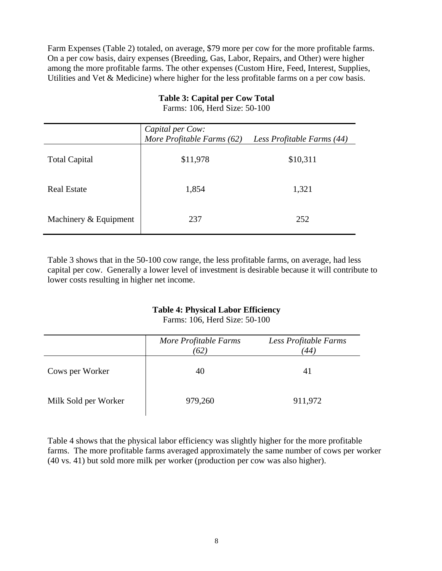Farm Expenses (Table 2) totaled, on average, \$79 more per cow for the more profitable farms. On a per cow basis, dairy expenses (Breeding, Gas, Labor, Repairs, and Other) were higher among the more profitable farms. The other expenses (Custom Hire, Feed, Interest, Supplies, Utilities and Vet & Medicine) where higher for the less profitable farms on a per cow basis.

|                       | Capital per Cow:<br>More Profitable Farms (62) | Less Profitable Farms (44) |
|-----------------------|------------------------------------------------|----------------------------|
| <b>Total Capital</b>  | \$11,978                                       | \$10,311                   |
| <b>Real Estate</b>    | 1,854                                          | 1,321                      |
| Machinery & Equipment | 237                                            | 252                        |

# **Table 3: Capital per Cow Total**

Farms: 106, Herd Size: 50-100

Table 3 shows that in the 50-100 cow range, the less profitable farms, on average, had less capital per cow. Generally a lower level of investment is desirable because it will contribute to lower costs resulting in higher net income.

## **Table 4: Physical Labor Efficiency**

Farms: 106, Herd Size: 50-100

|                      | More Profitable Farms<br>(62) | Less Profitable Farms<br>44 <sub>1</sub> |
|----------------------|-------------------------------|------------------------------------------|
| Cows per Worker      | 40                            | 41                                       |
| Milk Sold per Worker | 979,260                       | 911,972                                  |

Table 4 shows that the physical labor efficiency was slightly higher for the more profitable farms. The more profitable farms averaged approximately the same number of cows per worker (40 vs. 41) but sold more milk per worker (production per cow was also higher).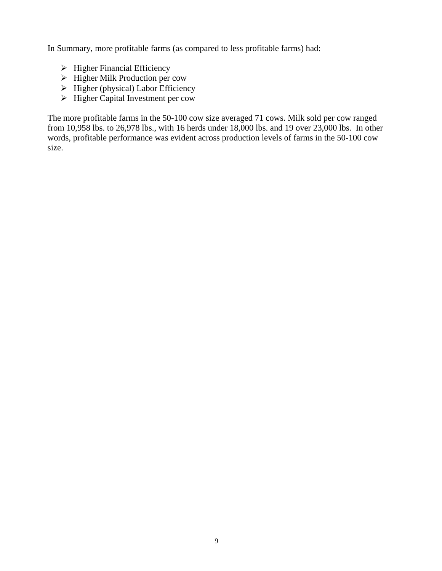In Summary, more profitable farms (as compared to less profitable farms) had:

- $\triangleright$  Higher Financial Efficiency
- $\triangleright$  Higher Milk Production per cow
- $\triangleright$  Higher (physical) Labor Efficiency
- $\triangleright$  Higher Capital Investment per cow

The more profitable farms in the 50-100 cow size averaged 71 cows. Milk sold per cow ranged from 10,958 lbs. to 26,978 lbs., with 16 herds under 18,000 lbs. and 19 over 23,000 lbs. In other words, profitable performance was evident across production levels of farms in the 50-100 cow size.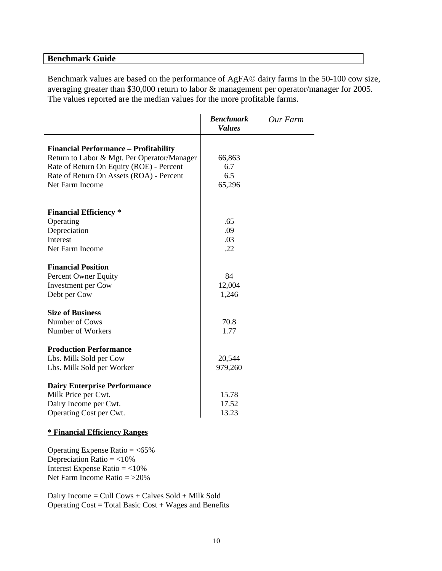### **Benchmark Guide**

Benchmark values are based on the performance of AgFA© dairy farms in the 50-100 cow size, averaging greater than \$30,000 return to labor & management per operator/manager for 2005. The values reported are the median values for the more profitable farms.

|                                              | <b>Benchmark</b><br><b>Values</b> | Our Farm |
|----------------------------------------------|-----------------------------------|----------|
| <b>Financial Performance - Profitability</b> |                                   |          |
| Return to Labor & Mgt. Per Operator/Manager  | 66,863                            |          |
| Rate of Return On Equity (ROE) - Percent     | 6.7                               |          |
| Rate of Return On Assets (ROA) - Percent     | 6.5                               |          |
| Net Farm Income                              | 65,296                            |          |
| <b>Financial Efficiency</b> *                |                                   |          |
| Operating                                    | .65                               |          |
| Depreciation                                 | .09                               |          |
| Interest                                     | .03                               |          |
| Net Farm Income                              | .22                               |          |
| <b>Financial Position</b>                    |                                   |          |
| Percent Owner Equity                         | 84                                |          |
| Investment per Cow                           | 12,004                            |          |
| Debt per Cow                                 | 1,246                             |          |
| <b>Size of Business</b>                      |                                   |          |
| Number of Cows                               | 70.8                              |          |
| Number of Workers                            | 1.77                              |          |
| <b>Production Performance</b>                |                                   |          |
| Lbs. Milk Sold per Cow                       | 20,544                            |          |
| Lbs. Milk Sold per Worker                    | 979,260                           |          |
| <b>Dairy Enterprise Performance</b>          |                                   |          |
| Milk Price per Cwt.                          | 15.78                             |          |
| Dairy Income per Cwt.                        | 17.52                             |          |
| Operating Cost per Cwt.                      | 13.23                             |          |

#### **\* Financial Efficiency Ranges**

Operating Expense Ratio  $=$  <65% Depreciation Ratio  $=$  <10% Interest Expense Ratio  $=$  <10% Net Farm Income Ratio  $=$  >20%

Dairy Income = Cull Cows + Calves Sold + Milk Sold Operating Cost = Total Basic Cost + Wages and Benefits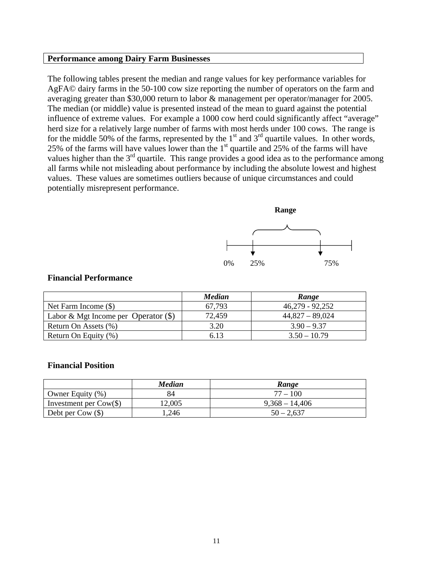#### **Performance among Dairy Farm Businesses**

The following tables present the median and range values for key performance variables for AgFA© dairy farms in the 50-100 cow size reporting the number of operators on the farm and averaging greater than \$30,000 return to labor & management per operator/manager for 2005. The median (or middle) value is presented instead of the mean to guard against the potential influence of extreme values. For example a 1000 cow herd could significantly affect "average" herd size for a relatively large number of farms with most herds under 100 cows. The range is for the middle 50% of the farms, represented by the  $1<sup>st</sup>$  and  $3<sup>rd</sup>$  quartile values. In other words, 25% of the farms will have values lower than the  $1<sup>st</sup>$  quartile and 25% of the farms will have values higher than the 3<sup>rd</sup> quartile. This range provides a good idea as to the performance among all farms while not misleading about performance by including the absolute lowest and highest values. These values are sometimes outliers because of unique circumstances and could potentially misrepresent performance.



| <b>Financial Performance</b> |  |
|------------------------------|--|
|------------------------------|--|

|                                        | <b>Median</b> | Range             |
|----------------------------------------|---------------|-------------------|
| Net Farm Income $(\$)$                 | 67,793        | $46,279 - 92,252$ |
| Labor & Mgt Income per Operator $(\$)$ | 72,459        | $44,827 - 89,024$ |
| Return On Assets (%)                   | 3.20          | $3.90 - 9.37$     |
| Return On Equity (%)                   | 6.13          | $3.50 - 10.79$    |

#### **Financial Position**

|                                        | Median | Range            |
|----------------------------------------|--------|------------------|
| Owner Equity $(\%)$                    |        | $77 - 100$       |
| Investment per $\text{Cow}(\text{\$})$ | 12,005 | $9,368 - 14,406$ |
| Debt per $\text{Cow } (\$)$            | 1,246  | $50 - 2.637$     |